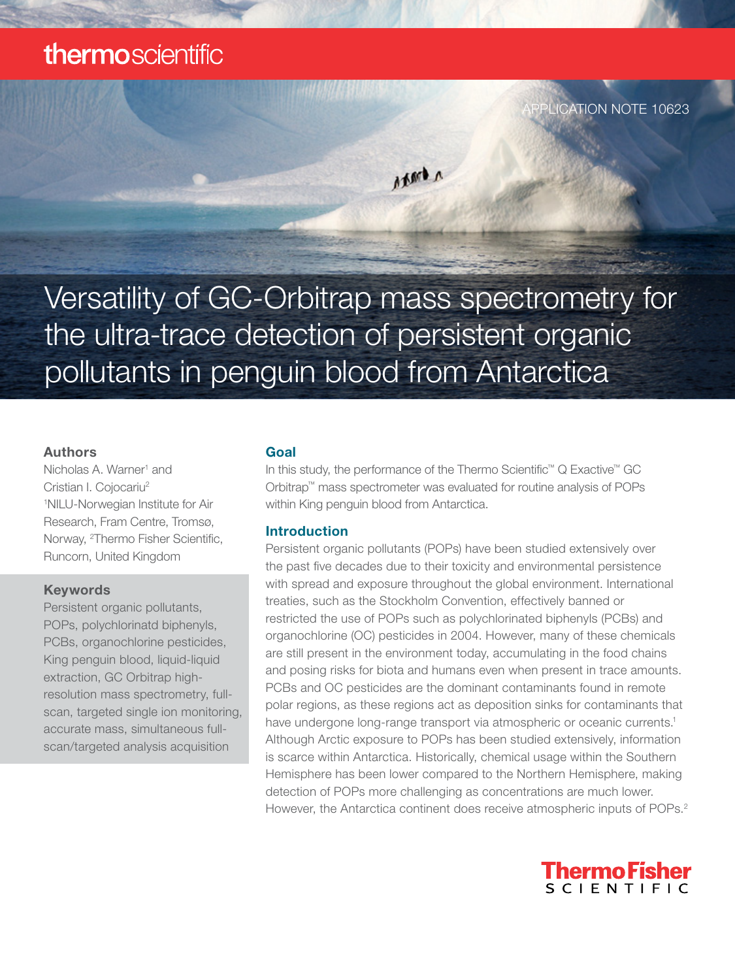# thermoscientific

Versatility of GC-Orbitrap mass spectrometry for the ultra-trace detection of persistent organic pollutants in penguin blood from Antarctica

Axert A

#### Authors

Nicholas A. Warner<sup>1</sup> and Cristian I. Cojocariu2 1 NILU-Norwegian Institute for Air Research, Fram Centre, Tromsø, Norway, <sup>2</sup>Thermo Fisher Scientific, Runcorn, United Kingdom

#### Keywords

Persistent organic pollutants, POPs, polychlorinatd biphenyls, PCBs, organochlorine pesticides, King penguin blood, liquid-liquid extraction, GC Orbitrap highresolution mass spectrometry, fullscan, targeted single ion monitoring, accurate mass, simultaneous fullscan/targeted analysis acquisition

#### Goal

In this study, the performance of the Thermo Scientific™ Q Exactive™ GC Orbitrap™ mass spectrometer was evaluated for routine analysis of POPs within King penguin blood from Antarctica.

#### Introduction

Persistent organic pollutants (POPs) have been studied extensively over the past five decades due to their toxicity and environmental persistence with spread and exposure throughout the global environment. International treaties, such as the Stockholm Convention, effectively banned or restricted the use of POPs such as polychlorinated biphenyls (PCBs) and organochlorine (OC) pesticides in 2004. However, many of these chemicals are still present in the environment today, accumulating in the food chains and posing risks for biota and humans even when present in trace amounts. PCBs and OC pesticides are the dominant contaminants found in remote polar regions, as these regions act as deposition sinks for contaminants that have undergone long-range transport via atmospheric or oceanic currents.<sup>1</sup> Although Arctic exposure to POPs has been studied extensively, information is scarce within Antarctica. Historically, chemical usage within the Southern Hemisphere has been lower compared to the Northern Hemisphere, making detection of POPs more challenging as concentrations are much lower. However, the Antarctica continent does receive atmospheric inputs of POPs.<sup>2</sup>



LICATION NOTE 10623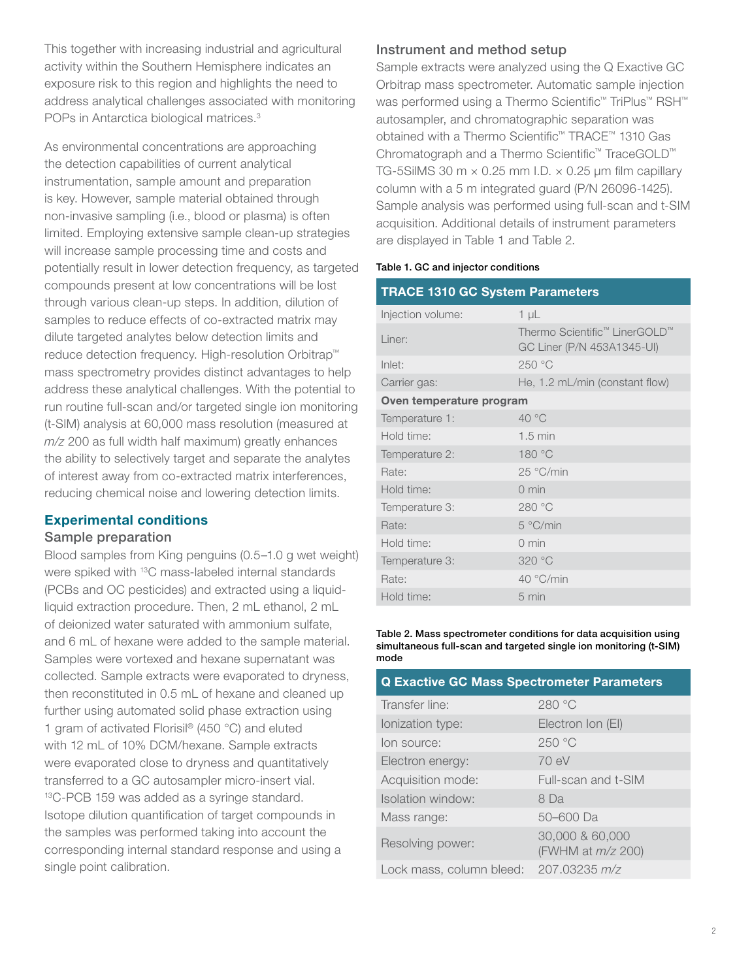This together with increasing industrial and agricultural activity within the Southern Hemisphere indicates an exposure risk to this region and highlights the need to address analytical challenges associated with monitoring POPs in Antarctica biological matrices.<sup>3</sup>

As environmental concentrations are approaching the detection capabilities of current analytical instrumentation, sample amount and preparation is key. However, sample material obtained through non-invasive sampling (i.e., blood or plasma) is often limited. Employing extensive sample clean-up strategies will increase sample processing time and costs and potentially result in lower detection frequency, as targeted compounds present at low concentrations will be lost through various clean-up steps. In addition, dilution of samples to reduce effects of co-extracted matrix may dilute targeted analytes below detection limits and reduce detection frequency. High-resolution Orbitrap™ mass spectrometry provides distinct advantages to help address these analytical challenges. With the potential to run routine full-scan and/or targeted single ion monitoring (t-SIM) analysis at 60,000 mass resolution (measured at *m/z* 200 as full width half maximum) greatly enhances the ability to selectively target and separate the analytes of interest away from co-extracted matrix interferences, reducing chemical noise and lowering detection limits.

# Experimental conditions

#### Sample preparation

Blood samples from King penguins (0.5–1.0 g wet weight) were spiked with 13C mass-labeled internal standards (PCBs and OC pesticides) and extracted using a liquidliquid extraction procedure. Then, 2 mL ethanol, 2 mL of deionized water saturated with ammonium sulfate, and 6 mL of hexane were added to the sample material. Samples were vortexed and hexane supernatant was collected. Sample extracts were evaporated to dryness, then reconstituted in 0.5 mL of hexane and cleaned up further using automated solid phase extraction using 1 gram of activated Florisil® (450 °C) and eluted with 12 mL of 10% DCM/hexane. Sample extracts were evaporated close to dryness and quantitatively transferred to a GC autosampler micro-insert vial. <sup>13</sup>C-PCB 159 was added as a syringe standard. Isotope dilution quantification of target compounds in the samples was performed taking into account the corresponding internal standard response and using a single point calibration.

#### Instrument and method setup

Sample extracts were analyzed using the Q Exactive GC Orbitrap mass spectrometer. Automatic sample injection was performed using a Thermo Scientific™ TriPlus™ RSH™ autosampler, and chromatographic separation was obtained with a Thermo Scientific™ TRACE™ 1310 Gas Chromatograph and a Thermo Scientific™ TraceGOLD™ TG-5SilMS 30 m  $\times$  0.25 mm I.D.  $\times$  0.25 µm film capillary column with a 5 m integrated guard (P/N 26096-1425). Sample analysis was performed using full-scan and t-SIM acquisition. Additional details of instrument parameters are displayed in Table 1 and Table 2.

#### Table 1. GC and injector conditions

| <b>TRACE 1310 GC System Parameters</b> |                                                             |  |
|----------------------------------------|-------------------------------------------------------------|--|
| Injection volume:                      | $1 \mu L$                                                   |  |
| Liner:                                 | Thermo Scientific™ LinerGOLD™<br>GC Liner (P/N 453A1345-UI) |  |
| Inlet:                                 | 250 °C                                                      |  |
| Carrier gas:                           | He, 1.2 mL/min (constant flow)                              |  |
| Oven temperature program               |                                                             |  |
| Temperature 1:                         | 40 °C                                                       |  |
| Hold time:                             | $1.5 \text{ min}$                                           |  |
| Temperature 2:                         | 180 °C                                                      |  |
| Rate:                                  | 25 °C/min                                                   |  |
| Hold time:                             | $0 \text{ min}$                                             |  |
| Temperature 3:                         | 280 °C                                                      |  |
| Rate:                                  | 5 °C/min                                                    |  |
| Hold time:                             | $0 \text{ min}$                                             |  |
| Temperature 3:                         | 320 °C                                                      |  |
| Rate:                                  | 40 °C/min                                                   |  |
| Hold time:                             | $5 \text{ min}$                                             |  |

Table 2. Mass spectrometer conditions for data acquisition using simultaneous full-scan and targeted single ion monitoring (t-SIM) mode

| <b>Q Exactive GC Mass Spectrometer Parameters</b> |                                             |  |
|---------------------------------------------------|---------------------------------------------|--|
| Transfer line:                                    | 280 °C                                      |  |
| lonization type:                                  | Electron Ion (EI)                           |  |
| lon source:                                       | 250 °C                                      |  |
| Electron energy:                                  | 70 eV                                       |  |
| Acquisition mode:                                 | Full-scan and t-SIM                         |  |
| Isolation window:                                 | 8 Da                                        |  |
| Mass range:                                       | 50-600 Da                                   |  |
| Resolving power:                                  | 30,000 & 60,000<br>(FWHM at <i>m/z</i> 200) |  |
| Lock mass, column bleed:                          | 207.03235 m/z                               |  |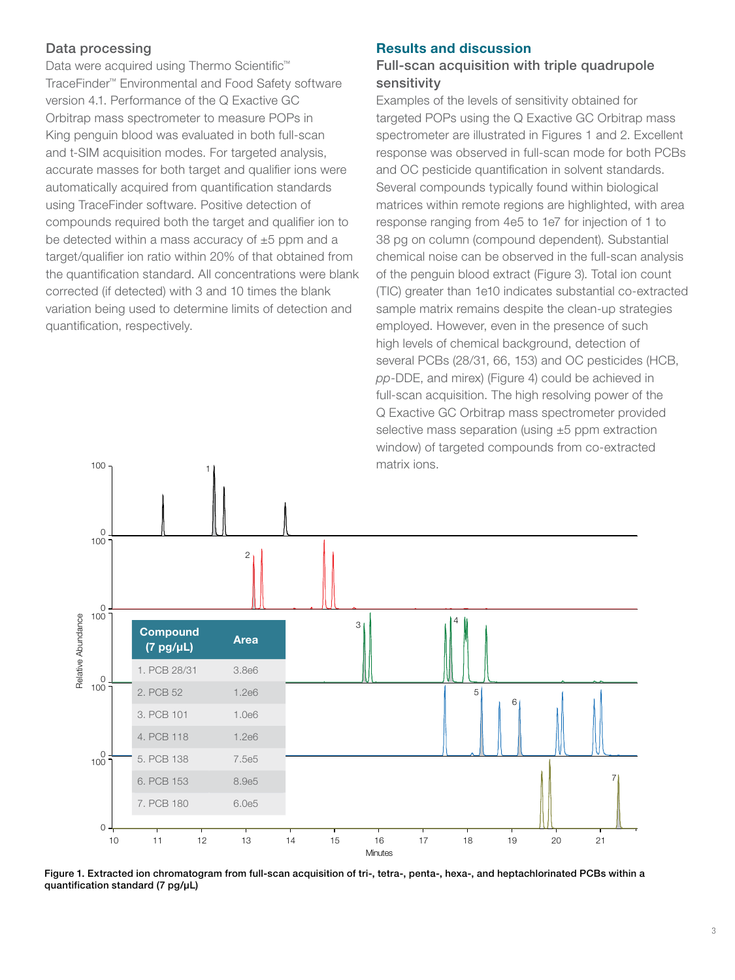# Data processing

Data were acquired using Thermo Scientific™ TraceFinder™ Environmental and Food Safety software version 4.1. Performance of the Q Exactive GC Orbitrap mass spectrometer to measure POPs in King penguin blood was evaluated in both full-scan and t-SIM acquisition modes. For targeted analysis, accurate masses for both target and qualifier ions were automatically acquired from quantification standards using TraceFinder software. Positive detection of compounds required both the target and qualifier ion to be detected within a mass accuracy of  $\pm 5$  ppm and a target/qualifier ion ratio within 20% of that obtained from the quantification standard. All concentrations were blank corrected (if detected) with 3 and 10 times the blank variation being used to determine limits of detection and quantification, respectively.

### Results and discussion

# Full-scan acquisition with triple quadrupole sensitivity

Examples of the levels of sensitivity obtained for targeted POPs using the Q Exactive GC Orbitrap mass spectrometer are illustrated in Figures 1 and 2. Excellent response was observed in full-scan mode for both PCBs and OC pesticide quantification in solvent standards. Several compounds typically found within biological matrices within remote regions are highlighted, with area response ranging from 4e5 to 1e7 for injection of 1 to 38 pg on column (compound dependent). Substantial chemical noise can be observed in the full-scan analysis of the penguin blood extract (Figure 3). Total ion count (TIC) greater than 1e10 indicates substantial co-extracted sample matrix remains despite the clean-up strategies employed. However, even in the presence of such high levels of chemical background, detection of several PCBs (28/31, 66, 153) and OC pesticides (HCB, *pp*-DDE, and mirex) (Figure 4) could be achieved in full-scan acquisition. The high resolving power of the Q Exactive GC Orbitrap mass spectrometer provided selective mass separation (using ±5 ppm extraction window) of targeted compounds from co-extracted matrix ions.



Figure 1. Extracted ion chromatogram from full-scan acquisition of tri-, tetra-, penta-, hexa-, and heptachlorinated PCBs within a quantification standard (7 pg/μL)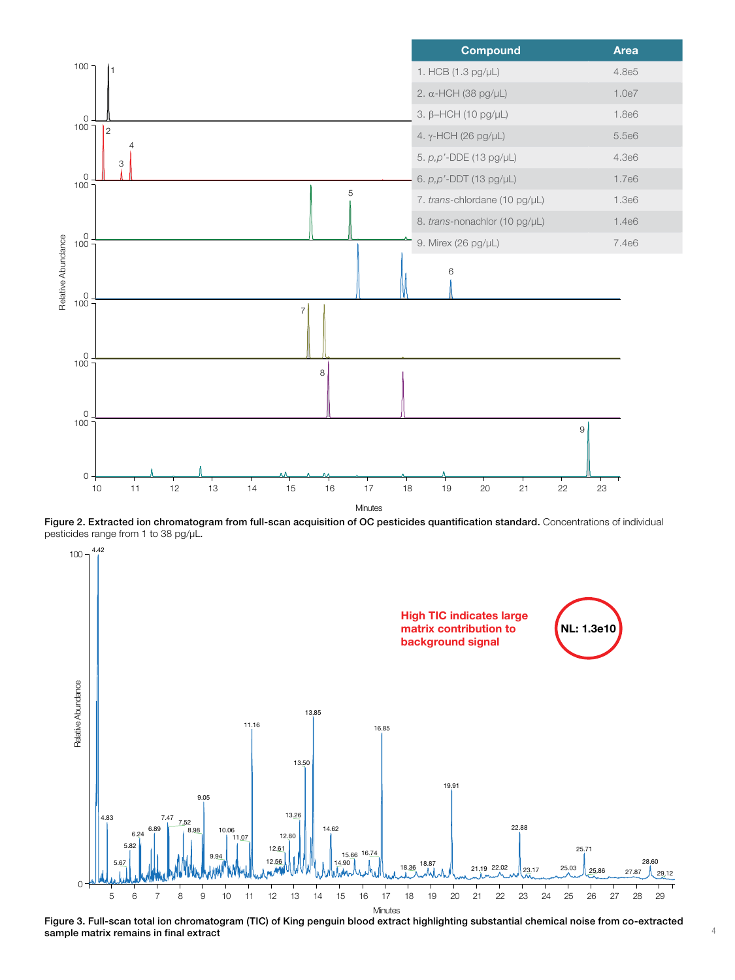

Figure 2. Extracted ion chromatogram from full-scan acquisition of OC pesticides quantification standard. Concentrations of individual pesticides range from 1 to 38 pg/μL.

4.42



Figure 3. Full-scan total ion chromatogram (TIC) of King penguin blood extract highlighting substantial chemical noise from co-extracted sample matrix remains in final extract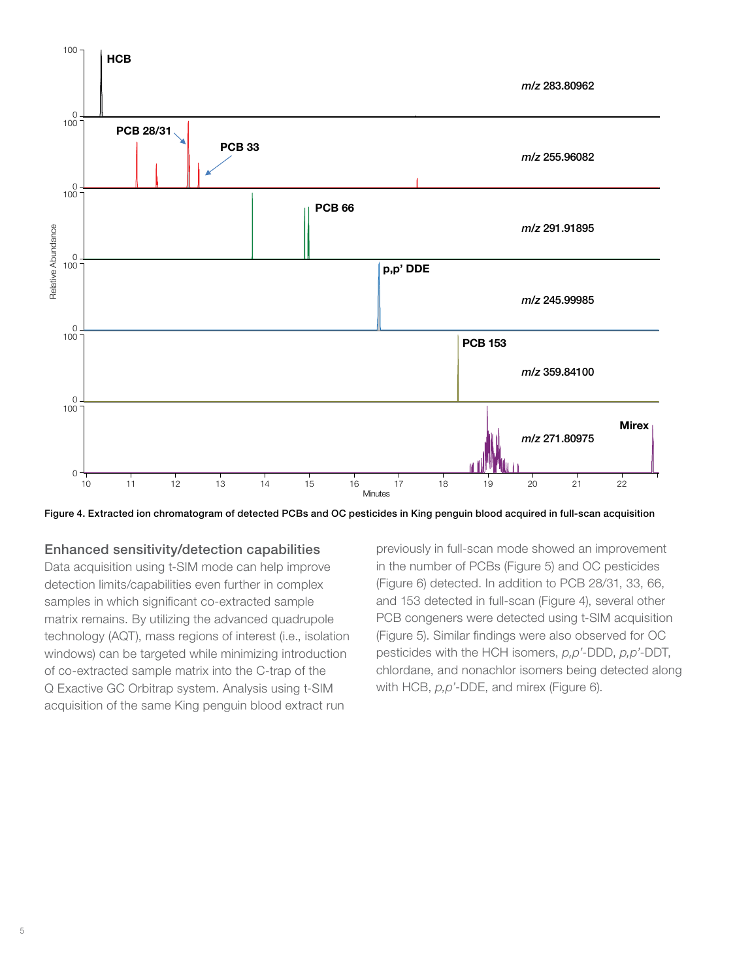

Figure 4. Extracted ion chromatogram of detected PCBs and OC pesticides in King penguin blood acquired in full-scan acquisition

#### Enhanced sensitivity/detection capabilities

Data acquisition using t-SIM mode can help improve detection limits/capabilities even further in complex samples in which significant co-extracted sample matrix remains. By utilizing the advanced quadrupole technology (AQT), mass regions of interest (i.e., isolation windows) can be targeted while minimizing introduction of co-extracted sample matrix into the C-trap of the Q Exactive GC Orbitrap system. Analysis using t-SIM acquisition of the same King penguin blood extract run

previously in full-scan mode showed an improvement in the number of PCBs (Figure 5) and OC pesticides (Figure 6) detected. In addition to PCB 28/31, 33, 66, and 153 detected in full-scan (Figure 4), several other PCB congeners were detected using t-SIM acquisition (Figure 5). Similar findings were also observed for OC pesticides with the HCH isomers, *p,p'*-DDD, *p,p'*-DDT, chlordane, and nonachlor isomers being detected along with HCB, *p,p'*-DDE, and mirex (Figure 6).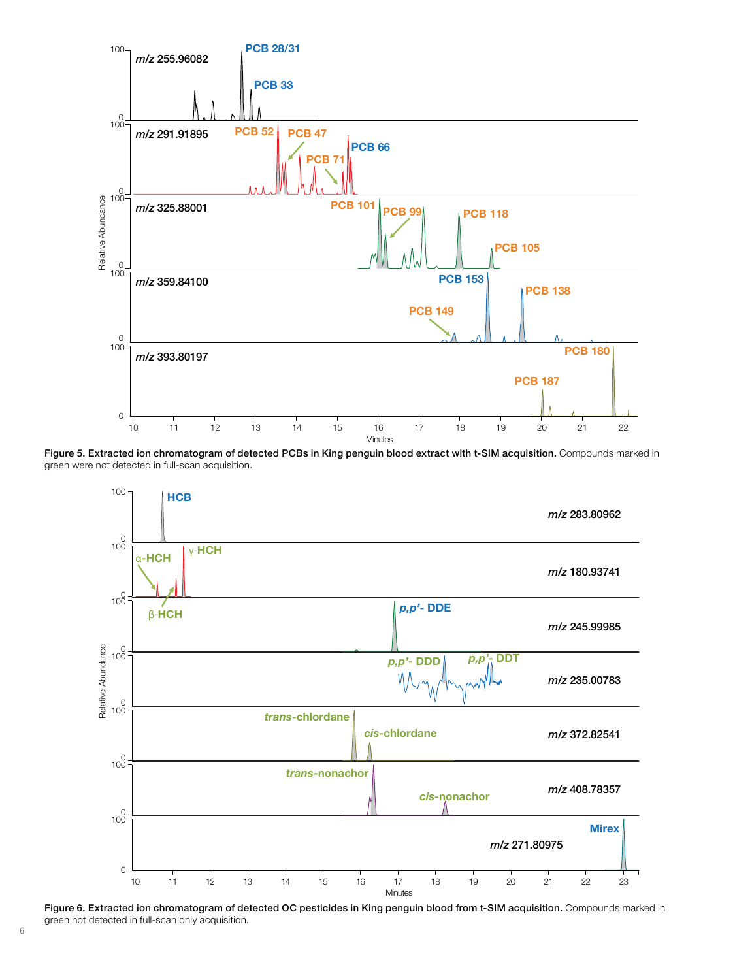

Figure 5. Extracted ion chromatogram of detected PCBs in King penguin blood extract with t-SIM acquisition. Compounds marked in green were not detected in full-scan acquisition.



Figure 6. Extracted ion chromatogram of detected OC pesticides in King penguin blood from t-SIM acquisition. Compounds marked in green not detected in full-scan only acquisition.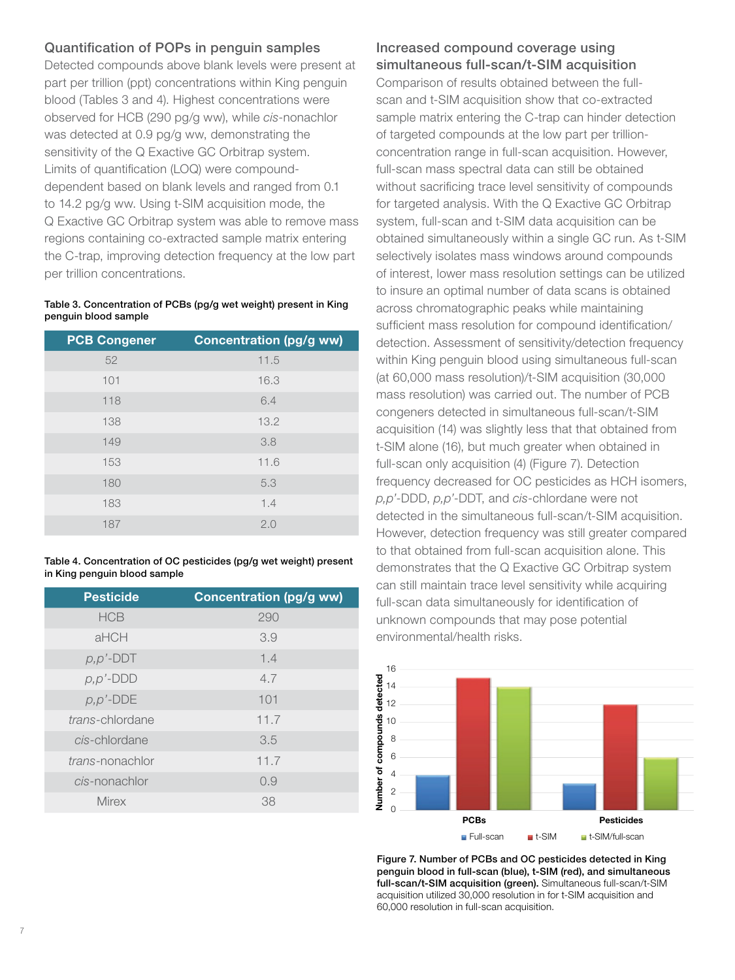# Quantification of POPs in penguin samples

Detected compounds above blank levels were present at part per trillion (ppt) concentrations within King penguin blood (Tables 3 and 4). Highest concentrations were observed for HCB (290 pg/g ww), while *cis*-nonachlor was detected at 0.9 pg/g ww, demonstrating the sensitivity of the Q Exactive GC Orbitrap system. Limits of quantification (LOQ) were compounddependent based on blank levels and ranged from 0.1 to 14.2 pg/g ww. Using t-SIM acquisition mode, the Q Exactive GC Orbitrap system was able to remove mass regions containing co-extracted sample matrix entering the C-trap, improving detection frequency at the low part per trillion concentrations.

#### Table 3. Concentration of PCBs (pg/g wet weight) present in King penguin blood sample

| <b>PCB Congener</b> | <b>Concentration (pg/g ww)</b> |
|---------------------|--------------------------------|
| 52                  | 11.5                           |
| 101                 | 16.3                           |
| 118                 | 6.4                            |
| 138                 | 13.2                           |
| 149                 | 3.8                            |
| 153                 | 11.6                           |
| 180                 | 5.3                            |
| 183                 | 1.4                            |
| 187                 | 2.0                            |

Table 4. Concentration of OC pesticides (pg/g wet weight) present in King penguin blood sample

| <b>Pesticide</b> | <b>Concentration (pg/g ww)</b> |
|------------------|--------------------------------|
| <b>HCB</b>       | 290                            |
| aHCH             | 3.9                            |
| $p, p'$ -DDT     | 1.4                            |
| $p, p'$ -DDD     | 4.7                            |
| $p, p'$ -DDE     | 101                            |
| trans-chlordane  | 11.7                           |
| cis-chlordane    | 3.5                            |
| trans-nonachlor  | 11.7                           |
| cis-nonachlor    | 0.9                            |
| <b>Mirex</b>     | 38                             |

# Increased compound coverage using simultaneous full-scan/t-SIM acquisition

Comparison of results obtained between the fullscan and t-SIM acquisition show that co-extracted sample matrix entering the C-trap can hinder detection of targeted compounds at the low part per trillionconcentration range in full-scan acquisition. However, full-scan mass spectral data can still be obtained without sacrificing trace level sensitivity of compounds for targeted analysis. With the Q Exactive GC Orbitrap system, full-scan and t-SIM data acquisition can be obtained simultaneously within a single GC run. As t-SIM selectively isolates mass windows around compounds of interest, lower mass resolution settings can be utilized to insure an optimal number of data scans is obtained across chromatographic peaks while maintaining sufficient mass resolution for compound identification/ detection. Assessment of sensitivity/detection frequency within King penguin blood using simultaneous full-scan (at 60,000 mass resolution)/t-SIM acquisition (30,000 mass resolution) was carried out. The number of PCB congeners detected in simultaneous full-scan/t-SIM acquisition (14) was slightly less that that obtained from t-SIM alone (16), but much greater when obtained in full-scan only acquisition (4) (Figure 7). Detection frequency decreased for OC pesticides as HCH isomers, *p,p'*-DDD, *p,p'*-DDT, and *cis*-chlordane were not detected in the simultaneous full-scan/t-SIM acquisition. However, detection frequency was still greater compared to that obtained from full-scan acquisition alone. This demonstrates that the Q Exactive GC Orbitrap system can still maintain trace level sensitivity while acquiring full-scan data simultaneously for identification of unknown compounds that may pose potential environmental/health risks.



Figure 7. Number of PCBs and OC pesticides detected in King penguin blood in full-scan (blue), t-SIM (red), and simultaneous full-scan/t-SIM acquisition (green). Simultaneous full-scan/t-SIM acquisition utilized 30,000 resolution in for t-SIM acquisition and 60,000 resolution in full-scan acquisition.